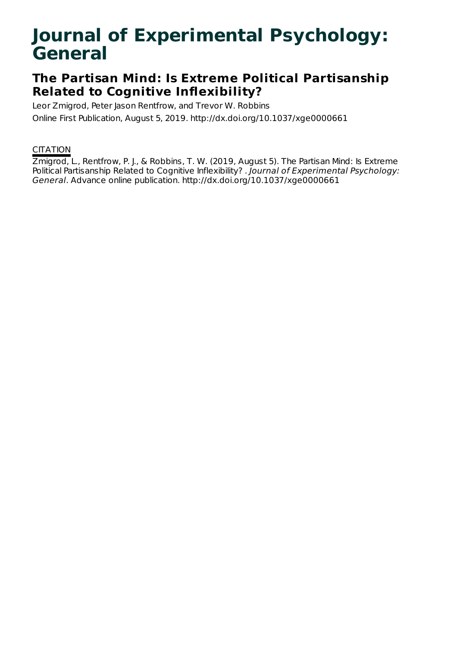# **Journal of Experimental Psychology: General**

## **The Partisan Mind: Is Extreme Political Partisanship Related to Cognitive Inflexibility?**

Leor Zmigrod, Peter Jason Rentfrow, and Trevor W. Robbins

Online First Publication, August 5, 2019. http://dx.doi.org/10.1037/xge0000661

### **CITATION**

Zmigrod, L., Rentfrow, P. J., & Robbins, T. W. (2019, August 5). The Partisan Mind: Is Extreme Political Partisanship Related to Cognitive Inflexibility? . Journal of Experimental Psychology: General. Advance online publication. http://dx.doi.org/10.1037/xge0000661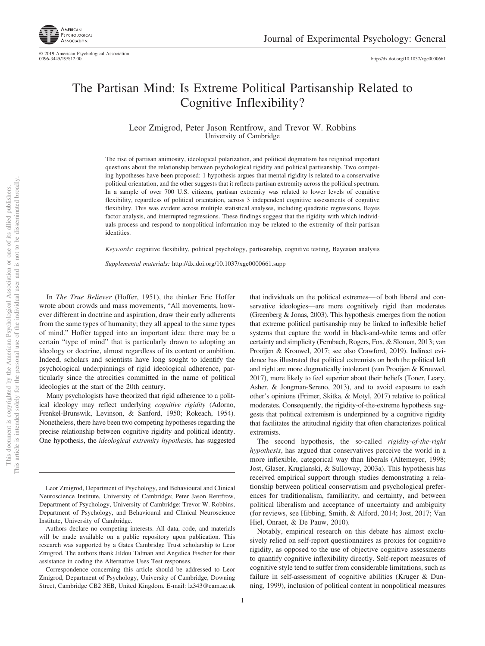

© 2019 American Psychological Association<br>0096-3445/19/\$12.00 http://dx.doi.org[/10.1037/xge0000661](http://dx.doi.org/10.1037/xge0000661)

### The Partisan Mind: Is Extreme Political Partisanship Related to Cognitive Inflexibility?

Leor Zmigrod, Peter Jason Rentfrow, and Trevor W. Robbins University of Cambridge

The rise of partisan animosity, ideological polarization, and political dogmatism has reignited important questions about the relationship between psychological rigidity and political partisanship. Two competing hypotheses have been proposed: 1 hypothesis argues that mental rigidity is related to a conservative political orientation, and the other suggests that it reflects partisan extremity across the political spectrum. In a sample of over 700 U.S. citizens, partisan extremity was related to lower levels of cognitive flexibility, regardless of political orientation, across 3 independent cognitive assessments of cognitive flexibility. This was evident across multiple statistical analyses, including quadratic regressions, Bayes factor analysis, and interrupted regressions. These findings suggest that the rigidity with which individuals process and respond to nonpolitical information may be related to the extremity of their partisan identities.

*Keywords:* cognitive flexibility, political psychology, partisanship, cognitive testing, Bayesian analysis

*Supplemental materials:* http://dx.doi.org/10.1037/xge0000661.supp

In *The True Believer* (Hoffer, 1951), the thinker Eric Hoffer wrote about crowds and mass movements, "All movements, however different in doctrine and aspiration, draw their early adherents from the same types of humanity; they all appeal to the same types of mind." Hoffer tapped into an important idea: there may be a certain "type of mind" that is particularly drawn to adopting an ideology or doctrine, almost regardless of its content or ambition. Indeed, scholars and scientists have long sought to identify the psychological underpinnings of rigid ideological adherence, particularly since the atrocities committed in the name of political ideologies at the start of the 20th century.

Many psychologists have theorized that rigid adherence to a political ideology may reflect underlying *cognitive rigidity* (Adorno, Frenkel-Brunswik, Levinson, & Sanford, 1950; Rokeach, 1954). Nonetheless, there have been two competing hypotheses regarding the precise relationship between cognitive rigidity and political identity. One hypothesis, the *ideological extremity hypothesis*, has suggested

Leor Zmigrod, Department of Psychology, and Behavioural and Clinical Neuroscience Institute, University of Cambridge; Peter Jason Rentfrow, Department of Psychology, University of Cambridge; Trevor W. Robbins, Department of Psychology, and Behavioural and Clinical Neuroscience Institute, University of Cambridge.

Authors declare no competing interests. All data, code, and materials will be made available on a public repository upon publication. This research was supported by a Gates Cambridge Trust scholarship to Leor Zmigrod. The authors thank Jildou Talman and Angelica Fischer for their assistance in coding the Alternative Uses Test responses.

Correspondence concerning this article should be addressed to Leor Zmigrod, Department of Psychology, University of Cambridge, Downing Street, Cambridge CB2 3EB, United Kingdom. E-mail: [lz343@cam.ac.uk](mailto:lz343@cam.ac.uk)

that individuals on the political extremes— of both liberal and conservative ideologies—are more cognitively rigid than moderates (Greenberg & Jonas, 2003). This hypothesis emerges from the notion that extreme political partisanship may be linked to inflexible belief systems that capture the world in black-and-white terms and offer certainty and simplicity (Fernbach, Rogers, Fox, & Sloman, 2013; van Prooijen & Krouwel, 2017; see also Crawford, 2019). Indirect evidence has illustrated that political extremists on both the political left and right are more dogmatically intolerant (van Prooijen & Krouwel, 2017), more likely to feel superior about their beliefs (Toner, Leary, Asher, & Jongman-Sereno, 2013), and to avoid exposure to each other's opinions (Frimer, Skitka, & Motyl, 2017) relative to political moderates. Consequently, the rigidity-of-the-extreme hypothesis suggests that political extremism is underpinned by a cognitive rigidity that facilitates the attitudinal rigidity that often characterizes political extremists.

The second hypothesis, the so-called *rigidity-of-the-right hypothesis*, has argued that conservatives perceive the world in a more inflexible, categorical way than liberals (Altemeyer, 1998; Jost, Glaser, Kruglanski, & Sulloway, 2003a). This hypothesis has received empirical support through studies demonstrating a relationship between political conservatism and psychological preferences for traditionalism, familiarity, and certainty, and between political liberalism and acceptance of uncertainty and ambiguity (for reviews, see Hibbing, Smith, & Alford, 2014; Jost, 2017; Van Hiel, Onraet, & De Pauw, 2010).

Notably, empirical research on this debate has almost exclusively relied on self-report questionnaires as proxies for cognitive rigidity, as opposed to the use of objective cognitive assessments to quantify cognitive inflexibility directly. Self-report measures of cognitive style tend to suffer from considerable limitations, such as failure in self-assessment of cognitive abilities (Kruger & Dunning, 1999), inclusion of political content in nonpolitical measures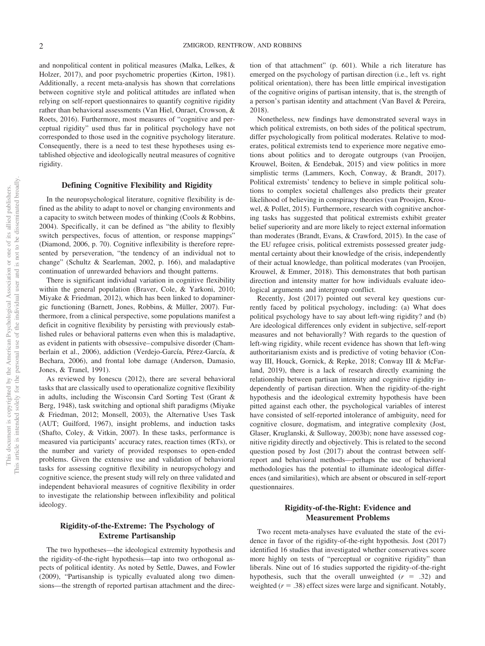and nonpolitical content in political measures (Malka, Lelkes, & Holzer, 2017), and poor psychometric properties (Kirton, 1981). Additionally, a recent meta-analysis has shown that correlations between cognitive style and political attitudes are inflated when relying on self-report questionnaires to quantify cognitive rigidity rather than behavioral assessments (Van Hiel, Onraet, Crowson, & Roets, 2016). Furthermore, most measures of "cognitive and perceptual rigidity" used thus far in political psychology have not corresponded to those used in the cognitive psychology literature. Consequently, there is a need to test these hypotheses using established objective and ideologically neutral measures of cognitive rigidity.

#### **Defining Cognitive Flexibility and Rigidity**

In the neuropsychological literature, cognitive flexibility is defined as the ability to adapt to novel or changing environments and a capacity to switch between modes of thinking (Cools & Robbins, 2004). Specifically, it can be defined as "the ability to flexibly switch perspectives, focus of attention, or response mappings" (Diamond, 2006, p. 70). Cognitive inflexibility is therefore represented by perseveration, "the tendency of an individual not to change" (Schultz & Searleman, 2002, p. 166), and maladaptive continuation of unrewarded behaviors and thought patterns.

There is significant individual variation in cognitive flexibility within the general population [\(Braver, Cole, & Yarkoni, 2010;](#page-10-0) Miyake & Friedman, 2012), which has been linked to dopaminergic functioning (Barnett, Jones, Robbins, & Müller, 2007). Furthermore, from a clinical perspective, some populations manifest a deficit in cognitive flexibility by persisting with previously established rules or behavioral patterns even when this is maladaptive, as evident in patients with obsessive– compulsive disorder (Chamberlain et al., 2006), addiction (Verdejo-García, Pérez-García, & Bechara, 2006), and frontal lobe damage (Anderson, Damasio, Jones, & Tranel, 1991).

As reviewed by Ionescu (2012), there are several behavioral tasks that are classically used to operationalize cognitive flexibility in adults, including the Wisconsin Card Sorting Test (Grant & Berg, 1948), task switching and optional shift paradigms (Miyake & Friedman, 2012; Monsell, 2003), the Alternative Uses Task (AUT; Guilford, 1967), insight problems, and induction tasks (Shafto, Coley, & Vitkin, 2007). In these tasks, performance is measured via participants' accuracy rates, reaction times (RTs), or the number and variety of provided responses to open-ended problems. Given the extensive use and validation of behavioral tasks for assessing cognitive flexibility in neuropsychology and cognitive science, the present study will rely on three validated and independent behavioral measures of cognitive flexibility in order to investigate the relationship between inflexibility and political ideology.

#### **Rigidity-of-the-Extreme: The Psychology of Extreme Partisanship**

The two hypotheses—the ideological extremity hypothesis and the rigidity-of-the-right hypothesis—tap into two orthogonal aspects of political identity. As noted by Settle, Dawes, and Fowler (2009), "Partisanship is typically evaluated along two dimensions—the strength of reported partisan attachment and the direction of that attachment" (p. 601). While a rich literature has emerged on the psychology of partisan direction (i.e., left vs. right political orientation), there has been little empirical investigation of the cognitive origins of partisan intensity, that is, the strength of a person's partisan identity and attachment (Van Bavel & Pereira, 2018).

Nonetheless, new findings have demonstrated several ways in which political extremists, on both sides of the political spectrum, differ psychologically from political moderates. Relative to moderates, political extremists tend to experience more negative emotions about politics and to derogate outgroups (van Prooijen, Krouwel, Boiten, & Eendebak, 2015) and view politics in more simplistic terms (Lammers, Koch, Conway, & Brandt, 2017). Political extremists' tendency to believe in simple political solutions to complex societal challenges also predicts their greater likelihood of believing in conspiracy theories (van Prooijen, Krouwel, & Pollet, 2015). Furthermore, research with cognitive anchoring tasks has suggested that political extremists exhibit greater belief superiority and are more likely to reject external information than moderates (Brandt, Evans, & Crawford, 2015). In the case of the EU refugee crisis, political extremists possessed greater judgmental certainty about their knowledge of the crisis, independently of their actual knowledge, than political moderates (van Prooijen, Krouwel, & Emmer, 2018). This demonstrates that both partisan direction and intensity matter for how individuals evaluate ideological arguments and intergroup conflict.

Recently, Jost (2017) pointed out several key questions currently faced by political psychology, including: (a) What does political psychology have to say about left-wing rigidity? and (b) Are ideological differences only evident in subjective, self-report measures and not behaviorally? With regards to the question of left-wing rigidity, while recent evidence has shown that left-wing authoritarianism exists and is predictive of voting behavior (Conway III, Houck, Gornick, & Repke, 2018; Conway III & McFarland, 2019), there is a lack of research directly examining the relationship between partisan intensity and cognitive rigidity independently of partisan direction. When the rigidity-of-the-right hypothesis and the ideological extremity hypothesis have been pitted against each other, the psychological variables of interest have consisted of self-reported intolerance of ambiguity, need for cognitive closure, dogmatism, and integrative complexity (Jost, Glaser, Kruglanski, & Sulloway, 2003b); none have assessed cognitive rigidity directly and objectively. This is related to the second question posed by Jost (2017) about the contrast between selfreport and behavioral methods—perhaps the use of behavioral methodologies has the potential to illuminate ideological differences (and similarities), which are absent or obscured in self-report questionnaires.

#### **Rigidity-of-the-Right: Evidence and Measurement Problems**

Two recent meta-analyses have evaluated the state of the evidence in favor of the rigidity-of-the-right hypothesis. Jost (2017) identified 16 studies that investigated whether conservatives score more highly on tests of "perceptual or cognitive rigidity" than liberals. Nine out of 16 studies supported the rigidity-of-the-right hypothesis, such that the overall unweighted  $(r = .32)$  and weighted  $(r = .38)$  effect sizes were large and significant. Notably,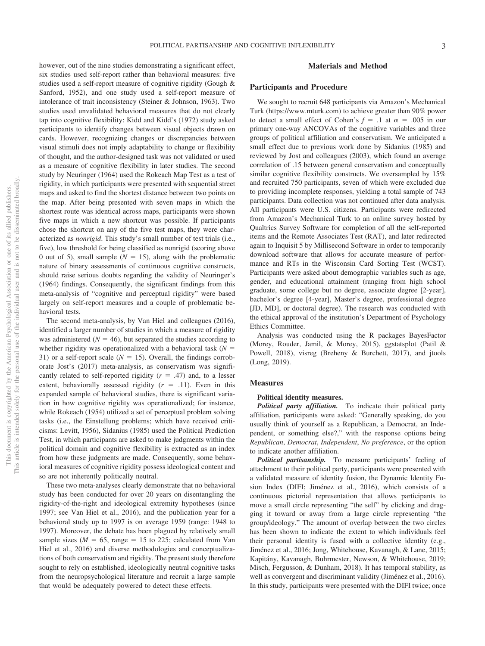however, out of the nine studies demonstrating a significant effect, six studies used self-report rather than behavioral measures: five studies used a self-report measure of cognitive rigidity (Gough & Sanford, 1952), and one study used a self-report measure of intolerance of trait inconsistency (Steiner & Johnson, 1963). Two studies used unvalidated behavioral measures that do not clearly tap into cognitive flexibility: Kidd and Kidd's (1972) study asked participants to identify changes between visual objects drawn on cards. However, recognizing changes or discrepancies between visual stimuli does not imply adaptability to change or flexibility of thought, and the author-designed task was not validated or used as a measure of cognitive flexibility in later studies. The second study by Neuringer (1964) used the Rokeach Map Test as a test of rigidity, in which participants were presented with sequential street maps and asked to find the shortest distance between two points on the map. After being presented with seven maps in which the shortest route was identical across maps, participants were shown five maps in which a new shortcut was possible. If participants chose the shortcut on any of the five test maps, they were characterized as *nonrigid*. This study's small number of test trials (i.e., five), low threshold for being classified as nonrigid (scoring above 0 out of 5), small sample  $(N = 15)$ , along with the problematic nature of binary assessments of continuous cognitive constructs, should raise serious doubts regarding the validity of Neuringer's (1964) findings. Consequently, the significant findings from this meta-analysis of "cognitive and perceptual rigidity" were based largely on self-report measures and a couple of problematic behavioral tests.

The second meta-analysis, by Van Hiel and colleagues (2016), identified a larger number of studies in which a measure of rigidity was administered  $(N = 46)$ , but separated the studies according to whether rigidity was operationalized with a behavioral task  $(N =$ 31) or a self-report scale ( $N = 15$ ). Overall, the findings corroborate Jost's (2017) meta-analysis, as conservatism was significantly related to self-reported rigidity  $(r = .47)$  and, to a lesser extent, behaviorally assessed rigidity  $(r = .11)$ . Even in this expanded sample of behavioral studies, there is significant variation in how cognitive rigidity was operationalized; for instance, while Rokeach (1954) utilized a set of perceptual problem solving tasks (i.e., the Einstellung problems; which have received criticisms: Levitt, 1956), Sidanius (1985) used the Political Prediction Test, in which participants are asked to make judgments within the political domain and cognitive flexibility is extracted as an index from how these judgments are made. Consequently, some behavioral measures of cognitive rigidity possess ideological content and so are not inherently politically neutral.

These two meta-analyses clearly demonstrate that no behavioral study has been conducted for over 20 years on disentangling the rigidity-of-the-right and ideological extremity hypotheses (since 1997; see Van Hiel et al., 2016), and the publication year for a behavioral study up to 1997 is on average 1959 (range: 1948 to 1997). Moreover, the debate has been plagued by relatively small sample sizes ( $M = 65$ , range = 15 to 225; calculated from Van Hiel et al., 2016) and diverse methodologies and conceptualizations of both conservatism and rigidity. The present study therefore sought to rely on established, ideologically neutral cognitive tasks from the neuropsychological literature and recruit a large sample that would be adequately powered to detect these effects.

#### **Materials and Method**

#### **Participants and Procedure**

We sought to recruit 648 participants via Amazon's Mechanical Turk [\(https://www.mturk.com\)](https://www.mturk.com) to achieve greater than 90% power to detect a small effect of Cohen's  $f = .1$  at  $\alpha = .005$  in our primary one-way ANCOVAs of the cognitive variables and three groups of political affiliation and conservatism. We anticipated a small effect due to previous work done by Sidanius (1985) and reviewed by Jost and colleagues (2003), which found an average correlation of .15 between general conservatism and conceptually similar cognitive flexibility constructs. We oversampled by 15% and recruited 750 participants, seven of which were excluded due to providing incomplete responses, yielding a total sample of 743 participants. Data collection was not continued after data analysis. All participants were U.S. citizens. Participants were redirected from Amazon's Mechanical Turk to an online survey hosted by Qualtrics Survey Software for completion of all the self-reported items and the Remote Associates Test (RAT), and later redirected again to Inquisit 5 by Millisecond Software in order to temporarily download software that allows for accurate measure of performance and RTs in the Wisconsin Card Sorting Test (WCST). Participants were asked about demographic variables such as age, gender, and educational attainment (ranging from high school graduate, some college but no degree, associate degree [2-year], bachelor's degree [4-year], Master's degree, professional degree [JD, MD], or doctoral degree). The research was conducted with the ethical approval of the institution's Department of Psychology Ethics Committee.

Analysis was conducted using the R packages BayesFactor (Morey, Rouder, Jamil, & Morey, 2015), ggstatsplot (Patil & Powell, 2018), visreg (Breheny & Burchett, 2017), and jtools (Long, 2019).

#### **Measures**

#### **Political identity measures.**

*Political party affiliation.* To indicate their political party affiliation, participants were asked: "Generally speaking, do you usually think of yourself as a Republican, a Democrat, an Independent, or something else?," with the response options being *Republican*, *Democrat*, *Independent*, *No preference*, or the option to indicate another affiliation.

*Political partisanship.* To measure participants' feeling of attachment to their political party, participants were presented with a validated measure of identity fusion, the Dynamic Identity Fusion Index (DIFI; Jiménez et al., 2016), which consists of a continuous pictorial representation that allows participants to move a small circle representing "the self" by clicking and dragging it toward or away from a large circle representing "the group/ideology." The amount of overlap between the two circles has been shown to indicate the extent to which individuals feel their personal identity is fused with a collective identity (e.g., Jiménez et al., 2016; Jong, Whitehouse, Kavanagh, & Lane, 2015; Kapitány, Kavanagh, Buhrmester, Newson, & Whitehouse, 2019; Misch, Fergusson, & Dunham, 2018). It has temporal stability, as well as convergent and discriminant validity (Jiménez et al., 2016). In this study, participants were presented with the DIFI twice; once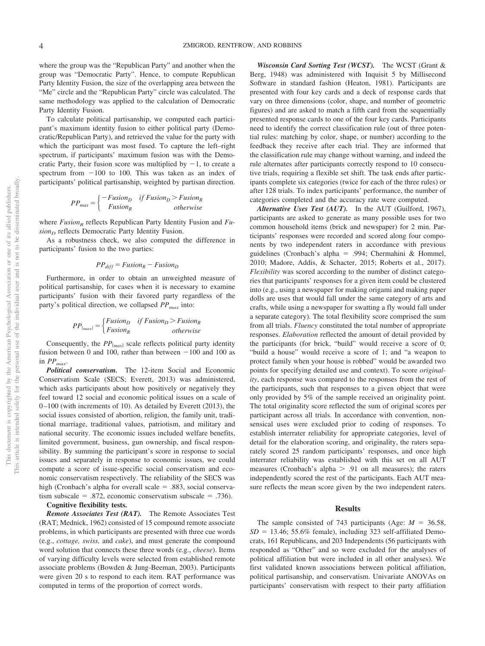where the group was the "Republican Party" and another when the group was "Democratic Party". Hence, to compute Republican Party Identity Fusion, the size of the overlapping area between the "Me" circle and the "Republican Party" circle was calculated. The same methodology was applied to the calculation of Democratic Party Identity Fusion.

To calculate political partisanship, we computed each participant's maximum identity fusion to either political party (Democratic/Republican Party), and retrieved the value for the party with which the participant was most fused. To capture the left–right spectrum, if participants' maximum fusion was with the Democratic Party, their fusion score was multiplied by  $-1$ , to create a spectrum from  $-100$  to 100. This was taken as an index of participants' political partisanship, weighted by partisan direction.

$$
PP_{max} = \begin{cases} -Fusion_D & if Fusion_D > Fusion_R \\ Fusion_R & otherwise \end{cases}
$$

where *Fusion*<sub>R</sub> reflects Republican Party Identity Fusion and *Fu* $sion<sub>D</sub>$  reflects Democratic Party Identity Fusion.

As a robustness check, we also computed the difference in participants' fusion to the two parties:

$$
PP_{diff} = Fusion_R - Fusion_D
$$

Furthermore, in order to obtain an unweighted measure of political partisanship, for cases when it is necessary to examine participants' fusion with their favored party regardless of the party's political direction, we collapsed  $PP_{max}$  into:

$$
PP_{|max|} = \begin{cases} Fusion_D & if Fusion_D > Fusion_R \\ Fusion_R & otherwise \end{cases}
$$

Consequently, the  $PP_{|max|}$  scale reflects political party identity fusion between 0 and 100, rather than between  $-100$  and 100 as in  $PP_{max}$ .

*Political conservatism.* The 12-item Social and Economic Conservatism Scale (SECS; Everett, 2013) was administered, which asks participants about how positively or negatively they feel toward 12 social and economic political issues on a scale of 0 –100 (with increments of 10). As detailed by Everett (2013), the social issues consisted of abortion, religion, the family unit, traditional marriage, traditional values, patriotism, and military and national security. The economic issues included welfare benefits, limited government, business, gun ownership, and fiscal responsibility. By summing the participant's score in response to social issues and separately in response to economic issues, we could compute a score of issue-specific social conservatism and economic conservatism respectively. The reliability of the SECS was high (Cronbach's alpha for overall scale  $= .883$ , social conservatism subscale =  $.872$ , economic conservatism subscale =  $.736$ ).

#### **Cognitive flexibility tests.**

*Remote Associates Test (RAT).* The Remote Associates Test (RAT; Mednick, 1962) consisted of 15 compound remote associate problems, in which participants are presented with three cue words (e.g., *cottage, swiss,* and *cake*), and must generate the compound word solution that connects these three words (e.g., *cheese*). Items of varying difficulty levels were selected from established remote associate problems (Bowden & Jung-Beeman, 2003). Participants were given 20 s to respond to each item. RAT performance was computed in terms of the proportion of correct words.

*Wisconsin Card Sorting Test (WCST).* The WCST (Grant & Berg, 1948) was administered with Inquisit 5 by Millisecond Software in standard fashion (Heaton, 1981). Participants are presented with four key cards and a deck of response cards that vary on three dimensions (color, shape, and number of geometric figures) and are asked to match a fifth card from the sequentially presented response cards to one of the four key cards. Participants need to identify the correct classification rule (out of three potential rules: matching by color, shape, or number) according to the feedback they receive after each trial. They are informed that the classification rule may change without warning, and indeed the rule alternates after participants correctly respond to 10 consecutive trials, requiring a flexible set shift. The task ends after participants complete six categories (twice for each of the three rules) or after 128 trials. To index participants' performance, the number of categories completed and the accuracy rate were computed.

*Alternative Uses Test (AUT).* In the AUT (Guilford, 1967), participants are asked to generate as many possible uses for two common household items (brick and newspaper) for 2 min. Participants' responses were recorded and scored along four components by two independent raters in accordance with previous guidelines (Cronbach's alpha = .994; Chermahini & Hommel, 2010; Madore, Addis, & Schacter, 2015; Roberts et al., 2017). *Flexibility* was scored according to the number of distinct categories that participants' responses for a given item could be clustered into (e.g., using a newspaper for making origami and making paper dolls are uses that would fall under the same category of arts and crafts, while using a newspaper for swatting a fly would fall under a separate category). The total flexibility score comprised the sum from all trials. *Fluency* constituted the total number of appropriate responses. *Elaboration* reflected the amount of detail provided by the participants (for brick, "build" would receive a score of 0; "build a house" would receive a score of 1; and "a weapon to protect family when your house is robbed" would be awarded two points for specifying detailed use and context). To score *originality*, each response was compared to the responses from the rest of the participants, such that responses to a given object that were only provided by 5% of the sample received an originality point. The total originality score reflected the sum of original scores per participant across all trials. In accordance with convention, nonsensical uses were excluded prior to coding of responses. To establish interrater reliability for appropriate categories, level of detail for the elaboration scoring, and originality, the raters separately scored 25 random participants' responses, and once high interrater reliability was established with this set on all AUT measures (Cronbach's alpha  $> .91$  on all measures); the raters independently scored the rest of the participants. Each AUT measure reflects the mean score given by the two independent raters.

#### **Results**

The sample consisted of 743 participants (Age:  $M = 36.58$ ,  $SD = 13.46$ ; 55.6% female), including 323 self-affiliated Democrats, 161 Republicans, and 203 Independents (56 participants with responded as "Other" and so were excluded for the analyses of political affiliation but were included in all other analyses). We first validated known associations between political affiliation, political partisanship, and conservatism. Univariate ANOVAs on participants' conservatism with respect to their party affiliation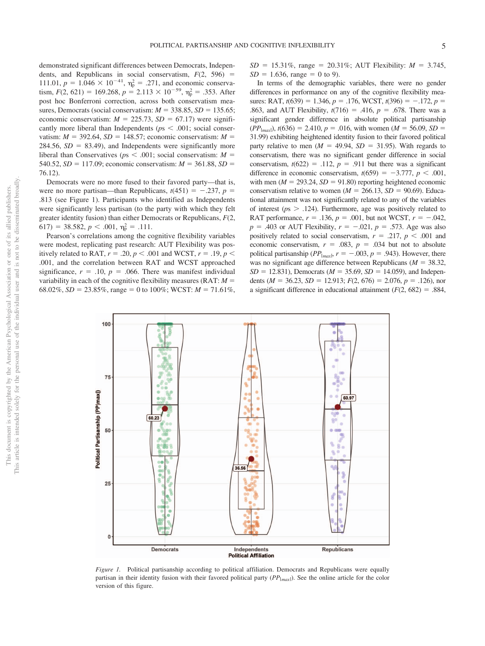demonstrated significant differences between Democrats, Independents, and Republicans in social conservatism,  $F(2, 596)$  = 111.01,  $p = 1.046 \times 10^{-41}$ ,  $\eta_p^2 = .271$ , and economic conservatism,  $F(2, 621) = 169.268$ ,  $p = 2.113 \times 10^{-59}$ ,  $\eta_p^2 = .353$ . After post hoc Bonferroni correction, across both conservatism measures, Democrats (social conservatism:  $M = 338.85$ ,  $SD = 135.65$ ; economic conservatism:  $M = 225.73$ ,  $SD = 67.17$ ) were significantly more liberal than Independents ( $p<sub>s</sub> < .001$ ; social conservatism:  $M = 392.64$ ,  $SD = 148.57$ ; economic conservatism:  $M =$  $284.56$ ,  $SD = 83.49$ ), and Independents were significantly more liberal than Conservatives ( $ps < .001$ ; social conservatism:  $M =$ 540.52,  $SD = 117.09$ ; economic conservatism:  $M = 361.88$ ,  $SD =$ 76.12).

Democrats were no more fused to their favored party—that is, were no more partisan—than Republicans,  $t(451) = -.237$ ,  $p =$ .813 (see Figure 1). Participants who identified as Independents were significantly less partisan (to the party with which they felt greater identity fusion) than either Democrats or Republicans, *F*(2,  $617$ ) = 38.582,  $p < .001$ ,  $\eta_p^2 = .111$ .

Pearson's correlations among the cognitive flexibility variables were modest, replicating past research: AUT Flexibility was positively related to RAT,  $r = .20$ ,  $p < .001$  and WCST,  $r = .19$ ,  $p <$ .001, and the correlation between RAT and WCST approached significance,  $r = .10$ ,  $p = .066$ . There was manifest individual variability in each of the cognitive flexibility measures ( $RAT: M =$ 68.02%,  $SD = 23.85\%$ , range = 0 to 100%; WCST:  $M = 71.61\%$ ,  $SD = 15.31\%$ , range = 20.31%; AUT Flexibility:  $M = 3.745$ ,  $SD = 1.636$ , range = 0 to 9).

In terms of the demographic variables, there were no gender differences in performance on any of the cognitive flexibility measures: RAT,  $t(639) = 1.346$ ,  $p = .176$ , WCST,  $t(396) = -.172$ ,  $p =$ .863, and AUT Flexibility,  $t(716) = .416$ ,  $p = .678$ . There was a significant gender difference in absolute political partisanship  $(PP_{\text{[max]}})$ ,  $t(636) = 2.410$ ,  $p = .016$ , with women ( $M = 56.09$ ,  $SD =$ 31.99) exhibiting heightened identity fusion to their favored political party relative to men ( $M = 49.94$ ,  $SD = 31.95$ ). With regards to conservatism, there was no significant gender difference in social conservatism,  $t(622) = .112$ ,  $p = .911$  but there was a significant difference in economic conservatism,  $t(659) = -3.777$ ,  $p < .001$ , with men  $(M = 293.24, SD = 91.80)$  reporting heightened economic conservatism relative to women ( $M = 266.13$ ,  $SD = 90.69$ ). Educational attainment was not significantly related to any of the variables of interest ( $p_s > .124$ ). Furthermore, age was positively related to RAT performance,  $r = .136$ ,  $p = .001$ , but not WCST,  $r = -.042$ ,  $p = .403$  or AUT Flexibility,  $r = -.021$ ,  $p = .573$ . Age was also positively related to social conservatism,  $r = .217$ ,  $p < .001$  and economic conservatism,  $r = .083$ ,  $p = .034$  but not to absolute political partisanship ( $PP_{|max}$ ,  $r = -.003$ ,  $p = .943$ ). However, there was no significant age difference between Republicans ( $M = 38.32$ ,  $SD = 12.831$ ), Democrats ( $M = 35.69$ ,  $SD = 14.059$ ), and Independents ( $M = 36.23$ ,  $SD = 12.913$ ;  $F(2, 676) = 2.076$ ,  $p = .126$ ), nor a significant difference in educational attainment  $(F(2, 682) = .884,$ 



*Figure 1.* Political partisanship according to political affiliation. Democrats and Republicans were equally partisan in their identity fusion with their favored political party (*PP*|*max*| ). See the online article for the color version of this figure.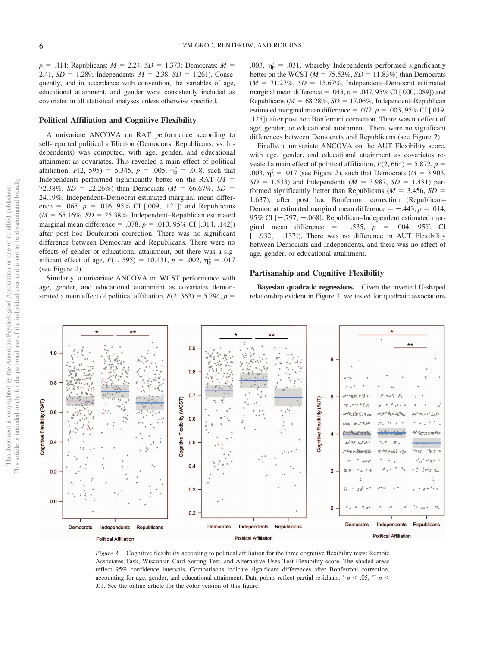$p = .414$ ; Republicans:  $M = 2.24$ ,  $SD = 1.373$ ; Democrats:  $M =$ 2.41,  $SD = 1.289$ ; Independents:  $M = 2.38$ ,  $SD = 1.261$ ). Consequently, and in accordance with convention, the variables of age, educational attainment, and gender were consistently included as covariates in all statistical analyses unless otherwise specified.

#### **Political Affiliation and Cognitive Flexibility**

A univariate ANCOVA on RAT performance according to self-reported political affiliation (Democrats, Republicans, vs. Independents) was computed, with age, gender, and educational attainment as covariates. This revealed a main effect of political affiliation,  $F(2, 595) = 5.345$ ,  $p = .005$ ,  $\eta_p^2 = .018$ , such that Independents performed significantly better on the RAT  $(M =$ 72.38%,  $SD = 22.26\%$ ) than Democrats ( $M = 66.67\%$ ,  $SD =$ 24.19%, Independent–Democrat estimated marginal mean difference = .065,  $p = .016$ , 95% CI [.009, .121]) and Republicans  $(M = 65.16\%, SD = 25.38\%, Independent–Republican estimated$ marginal mean difference = .078,  $p = .010, 95\%$  CI [.014, .142]) after post hoc Bonferroni correction. There was no significant difference between Democrats and Republicans. There were no effects of gender or educational attainment, but there was a sigmificant effect of age,  $F(1, 595) = 10.131$ ,  $p = .002$ ,  $\eta_p^2 = .017$ (see Figure 2).

Similarly, a univariate ANCOVA on WCST performance with age, gender, and educational attainment as covariates demonstrated a main effect of political affiliation,  $F(2, 363) = 5.794$ ,  $p =$ 

.003,  $\eta_p^2 = .031$ , whereby Independents performed significantly better on the WCST  $(M = 75.53\%, SD = 11.83\%)$  than Democrats  $(M = 71.27\%, SD = 15.67\%, Independent-Democrat estimated$ marginal mean difference =  $.045$ ,  $p = .047$ ,  $95\%$  CI [ $.000$ ,  $.089$ ]) and Republicans ( $M = 68.28\%$ ,  $SD = 17.06\%$ , Independent–Republican estimated marginal mean difference =  $.072$ ,  $p = .003$ , 95% CI [.019, .125]) after post hoc Bonferroni correction. There was no effect of age, gender, or educational attainment. There were no significant differences between Democrats and Republicans (see Figure 2).

Finally, a univariate ANCOVA on the AUT Flexibility score, with age, gender, and educational attainment as covariates revealed a main effect of political affiliation,  $F(2, 664) = 5.872$ ,  $p =$ .003,  $\eta_{\rm p}^2 = .017$  (see Figure 2), such that Democrats (*M* = 3.903,  $SD = 1.533$ ) and Independents ( $M = 3.987$ ,  $SD = 1.481$ ) performed significantly better than Republicans ( $M = 3.456$ ,  $SD =$ 1.637), after post hoc Bonferroni correction (Republican– Democrat estimated marginal mean difference  $= -0.443$ ,  $p = 0.014$ , 95% CI  $[-.797, -.068]$ ; Republican–Independent estimated marginal mean difference =  $-.535, p = .004, 95%$  CI  $[-.932, -137]$ ). There was no difference in AUT Flexibility between Democrats and Independents, and there was no effect of age, gender, or educational attainment.

#### **Partisanship and Cognitive Flexibility**

**Bayesian quadratic regressions.** Given the inverted U-shaped relationship evident in Figure 2, we tested for quadratic associations



*Figure 2.* Cognitive flexibility according to political affiliation for the three cognitive flexibility tests: Remote Associates Task, Wisconsin Card Sorting Test, and Alternative Uses Test Flexibility score. The shaded areas reflect 95% confidence intervals. Comparisons indicate significant differences after Bonferroni correction, accounting for age, gender, and educational attainment. Data points reflect partial residuals.  $p < .05$ ,  $\sqrt[*]{p}$ .01. See the online article for the color version of this figure.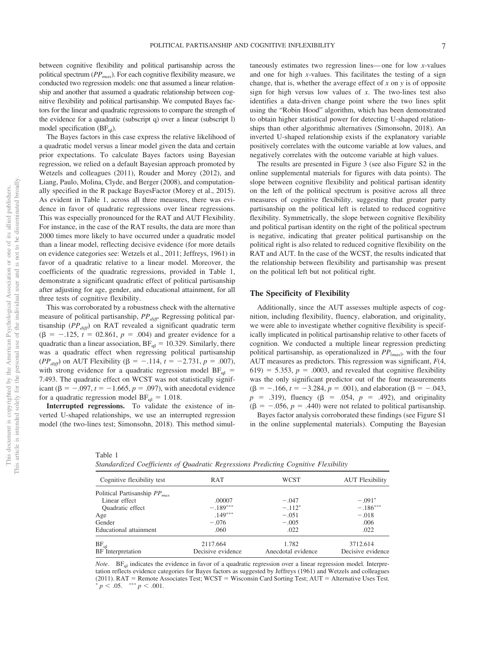between cognitive flexibility and political partisanship across the political spectrum (*PPmax*). For each cognitive flexibility measure, we conducted two regression models: one that assumed a linear relationship and another that assumed a quadratic relationship between cognitive flexibility and political partisanship. We computed Bayes factors for the linear and quadratic regressions to compare the strength of the evidence for a quadratic (subscript q) over a linear (subscript l) model specification  $(BF_{\text{cl}})$ .

The Bayes factors in this case express the relative likelihood of a quadratic model versus a linear model given the data and certain prior expectations. To calculate Bayes factors using Bayesian regression, we relied on a default Bayesian approach promoted by Wetzels and colleagues (2011), Rouder and Morey (2012), and Liang, Paulo, Molina, Clyde, and Berger (2008), and computationally specified in the R package BayesFactor (Morey et al., 2015). As evident in [Table 1,](#page-7-0) across all three measures, there was evidence in favor of quadratic regressions over linear regressions. This was especially pronounced for the RAT and AUT Flexibility. For instance, in the case of the RAT results, the data are more than 2000 times more likely to have occurred under a quadratic model than a linear model, reflecting decisive evidence (for more details on evidence categories see: Wetzels et al., 2011; Jeffreys, 1961) in favor of a quadratic relative to a linear model. Moreover, the coefficients of the quadratic regressions, provided in [Table 1,](#page-7-0) demonstrate a significant quadratic effect of political partisanship after adjusting for age, gender, and educational attainment, for all three tests of cognitive flexibility.

This was corroborated by a robustness check with the alternative measure of political partisanship,  $PP_{diff}$ . Regressing political partisanship (PP<sub>diff</sub>) on RAT revealed a significant quadratic term  $(\beta = -.125, t = 02.861, p = .004)$  and greater evidence for a quadratic than a linear association,  $BF_{ql} = 10.329$ . Similarly, there was a quadratic effect when regressing political partisanship (*PP<sub>diff</sub>*) on AUT Flexibility ( $\beta = -.114$ ,  $t = -2.731$ ,  $p = .007$ ), with strong evidence for a quadratic regression model  $BF_{ql}$  = 7.493. The quadratic effect on WCST was not statistically significant (β =  $-.097$ , *t* =  $-1.665$ , *p* = .097), with anecdotal evidence for a quadratic regression model  $BF_{ql} = 1.018$ .

**Interrupted regressions.** To validate the existence of inverted U-shaped relationships, we use an interrupted regression model (the two-lines test; Simonsohn, 2018). This method simul-

taneously estimates two regression lines— one for low *x*-values and one for high *x*-values. This facilitates the testing of a sign change, that is, whether the average effect of *x* on *y* is of opposite sign for high versus low values of *x*. The two-lines test also identifies a data-driven change point where the two lines split using the "Robin Hood" algorithm, which has been demonstrated to obtain higher statistical power for detecting U-shaped relationships than other algorithmic alternatives (Simonsohn, 2018). An inverted U-shaped relationship exists if the explanatory variable positively correlates with the outcome variable at low values, and negatively correlates with the outcome variable at high values.

The results are presented in Figure 3 (see also [Figure S2](http://dx.doi.org/10.1037/xge0000661.supp) in the online supplemental materials for figures with data points). The slope between cognitive flexibility and political partisan identity on the left of the political spectrum is positive across all three measures of cognitive flexibility, suggesting that greater party partisanship on the political left is related to reduced cognitive flexibility. Symmetrically, the slope between cognitive flexibility and political partisan identity on the right of the political spectrum is negative, indicating that greater political partisanship on the political right is also related to reduced cognitive flexibility on the RAT and AUT. In the case of the WCST, the results indicated that the relationship between flexibility and partisanship was present on the political left but not political right.

#### **The Specificity of Flexibility**

Additionally, since the AUT assesses multiple aspects of cognition, including flexibility, fluency, elaboration, and originality, we were able to investigate whether cognitive flexibility is specifically implicated in political partisanship relative to other facets of cognition. We conducted a multiple linear regression predicting political partisanship, as operationalized in *PP*|*max*<sup>|</sup> , with the four AUT measures as predictors. This regression was significant, *F*(4,  $(619) = 5.353$ ,  $p = .0003$ , and revealed that cognitive flexibility was the only significant predictor out of the four measurements  $(\beta = -.166, t = -3.284, p = .001)$ , and elaboration ( $\beta = -.043$ ,  $p = .319$ , fluency ( $\beta = .054$ ,  $p = .492$ ), and originality  $(\beta = -.056, p = .440)$  were not related to political partisanship. Bayes factor analysis corroborated these findings (see [Figure S1](http://dx.doi.org/10.1037/xge0000661.supp)

in the online supplemental materials). Computing the Bayesian

<span id="page-7-0"></span>

| v.<br>٠<br>٠<br>۰,<br>× |  |  |
|-------------------------|--|--|
|-------------------------|--|--|

|  | Standardized Coefficients of Quadratic Regressions Predicting Cognitive Flexibility |  |  |  |  |  |  |
|--|-------------------------------------------------------------------------------------|--|--|--|--|--|--|
|--|-------------------------------------------------------------------------------------|--|--|--|--|--|--|

| Cognitive flexibility test        | RAT               | WCST               | <b>AUT</b> Flexibility |
|-----------------------------------|-------------------|--------------------|------------------------|
| Political Partisanship $PP_{max}$ |                   |                    |                        |
| Linear effect                     | .00007            | $-.047$            | $-.091*$               |
| Quadratic effect                  | $-.189***$        | $-.112*$           | $-.186***$             |
| Age                               | $.149***$         | $-.051$            | $-.018$                |
| Gender                            | $-.076$           | $-.005$            | .006                   |
| Educational attainment            | .060              | .022               | .022                   |
| $BF_{cl}$                         | 2117.664          | 1.782              | 3712.614               |
| BF Interpretation                 | Decisive evidence | Anecdotal evidence | Decisive evidence      |

*Note*. BF<sub>ql</sub> indicates the evidence in favor of a quadratic regression over a linear regression model. Interpretation reflects evidence categories for Bayes factors as suggested by Jeffreys (1961) and Wetzels and colleagues (2011). RAT = Remote Associates Test; WCST = Wisconsin Card Sorting Test; AUT = Alternative Uses Test.  $\frac{p}{p}$  < .05.  $\frac{p}{p}$  < .001.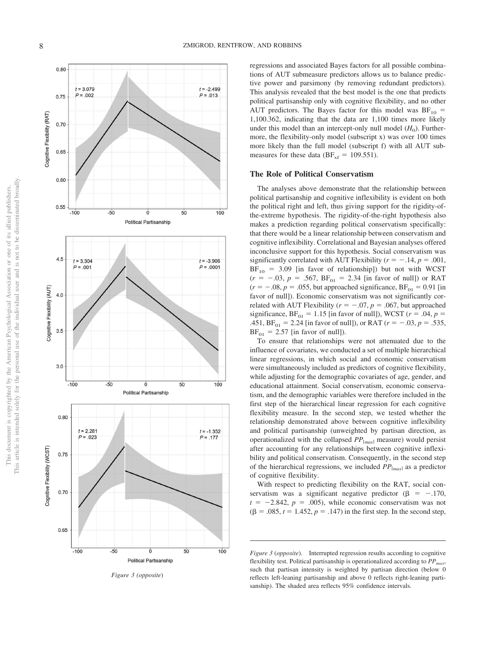

*Figure 3 (opposite* )

regressions and associated Bayes factors for all possible combinations of AUT submeasure predictors allows us to balance predictive power and parsimony (by removing redundant predictors). This analysis revealed that the best model is the one that predicts political partisanship only with cognitive flexibility, and no other AUT predictors. The Bayes factor for this model was  $BF_{10}$  = 1,100.362, indicating that the data are 1,100 times more likely under this model than an intercept-only null model  $(H_0)$ . Furthermore, the flexibility-only model (subscript x) was over 100 times more likely than the full model (subscript f) with all AUT submeasures for these data ( $BF_{xf} = 109.551$ ).

#### **The Role of Political Conservatism**

The analyses above demonstrate that the relationship between political partisanship and cognitive inflexibility is evident on both the political right and left, thus giving support for the rigidity-ofthe-extreme hypothesis. The rigidity-of-the-right hypothesis also makes a prediction regarding political conservatism specifically: that there would be a linear relationship between conservatism and cognitive inflexibility. Correlational and Bayesian analyses offered inconclusive support for this hypothesis. Social conservatism was significantly correlated with AUT Flexibility ( $r = -.14$ ,  $p = .001$ ,  $BF_{10}$  = 3.09 [in favor of relationship]) but not with WCST  $(r = -.03, p = .567, BF_{01} = 2.34$  [in favor of null]) or RAT  $(r = -.08, p = .055, \text{ but approached significance}, BF_{01} = 0.91 \text{ [in]}$ favor of null]). Economic conservatism was not significantly correlated with AUT Flexibility ( $r = -.07$ ,  $p = .067$ , but approached significance,  $BF_{01} = 1.15$  [in favor of null]), WCST ( $r = .04$ ,  $p =$ .451,  $BF_{01} = 2.24$  [in favor of null]), or RAT ( $r = -.03$ ,  $p = .535$ ,  $BF_{01} = 2.57$  [in favor of null]).

To ensure that relationships were not attenuated due to the influence of covariates, we conducted a set of multiple hierarchical linear regressions, in which social and economic conservatism were simultaneously included as predictors of cognitive flexibility, while adjusting for the demographic covariates of age, gender, and educational attainment. Social conservatism, economic conservatism, and the demographic variables were therefore included in the first step of the hierarchical linear regression for each cognitive flexibility measure. In the second step, we tested whether the relationship demonstrated above between cognitive inflexibility and political partisanship (unweighted by partisan direction, as operationalized with the collapsed *PP* |*max* <sup>|</sup> measure) would persist after accounting for any relationships between cognitive inflexibility and political conservatism. Consequently, in the second step of the hierarchical regressions, we included *PP* |*max* <sup>|</sup> as a predictor of cognitive flexibility.

With respect to predicting flexibility on the RAT, social conservatism was a significant negative predictor ( $\beta = -.170$ ,  $t = -2.842$ ,  $p = .005$ ), while economic conservatism was not  $(\beta = .085, t = 1.452, p = .147)$  in the first step. In the second step,

*Figure 3* (*opposite*). Interrupted regression results according to cognitive flexibility test. Political partisanship is operationalized according to  $PP_{max}$ , such that partisan intensity is weighted by partisan direction (below 0 reflects left-leaning partisanship and above 0 reflects right-leaning partisanship). The shaded area reflects 95% confidence intervals.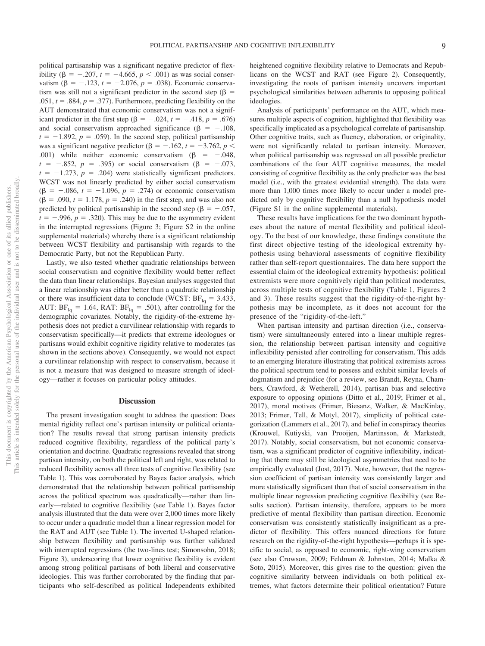political partisanship was a significant negative predictor of flexibility ( $\beta = -.207$ ,  $t = -4.665$ ,  $p < .001$ ) as was social conservatism  $(\beta = -.123, t = -2.076, p = .038)$ . Economic conservatism was still not a significant predictor in the second step ( $\beta$  =  $.051, t = .884, p = .377$ . Furthermore, predicting flexibility on the AUT demonstrated that economic conservatism was not a significant predictor in the first step  $(\beta = -.024, t = -.418, p = .676)$ and social conservatism approached significance ( $\beta = -.108$ ,  $t = -1.892$ ,  $p = .059$ ). In the second step, political partisanship was a significant negative predictor ( $\beta = -.162$ ,  $t = -3.762$ ,  $p <$ .001) while neither economic conservatism  $(\beta = -0.048,$  $t = -.852, p = .395$  or social conservatism ( $\beta = -.073$ ,  $t = -1.273$ ,  $p = .204$ ) were statistically significant predictors. WCST was not linearly predicted by either social conservatism  $(\beta = -.086, t = -1.096, p = .274)$  or economic conservatism  $(\beta = .090, t = 1.178, p = .240)$  in the first step, and was also not predicted by political partisanship in the second step ( $\beta = -.057$ ,  $t = -.996, p = .320$ . This may be due to the asymmetry evident in the interrupted regressions (Figure 3; [Figure S2](http://dx.doi.org/10.1037/xge0000661.supp) in the online supplemental materials) whereby there is a significant relationship between WCST flexibility and partisanship with regards to the Democratic Party, but not the Republican Party.

Lastly, we also tested whether quadratic relationships between social conservatism and cognitive flexibility would better reflect the data than linear relationships. Bayesian analyses suggested that a linear relationship was either better than a quadratic relationship or there was insufficient data to conclude (WCST:  $BF_{\text{Iq}} = 3.433$ , AUT:  $BF_{1q} = 1.64$ , RAT:  $BF_{1q} = .501$ ), after controlling for the demographic covariates. Notably, the rigidity-of-the-extreme hypothesis does not predict a curvilinear relationship with regards to conservatism specifically—it predicts that extreme ideologues or partisans would exhibit cognitive rigidity relative to moderates (as shown in the sections above). Consequently, we would not expect a curvilinear relationship with respect to conservatism, because it is not a measure that was designed to measure strength of ideology—rather it focuses on particular policy attitudes.

#### **Discussion**

The present investigation sought to address the question: Does mental rigidity reflect one's partisan intensity or political orientation? The results reveal that strong partisan intensity predicts reduced cognitive flexibility, regardless of the political party's orientation and doctrine. Quadratic regressions revealed that strong partisan intensity, on both the political left and right, was related to reduced flexibility across all three tests of cognitive flexibility (see [Table 1\)](#page-7-0). This was corroborated by Bayes factor analysis, which demonstrated that the relationship between political partisanship across the political spectrum was quadratically—rather than linearly—related to cognitive flexibility (see [Table 1\)](#page-7-0). Bayes factor analysis illustrated that the data were over 2,000 times more likely to occur under a quadratic model than a linear regression model for the RAT and AUT (see [Table 1\)](#page-7-0). The inverted U-shaped relationship between flexibility and partisanship was further validated with interrupted regressions (the two-lines test; Simonsohn, 2018; Figure 3), underscoring that lower cognitive flexibility is evident among strong political partisans of both liberal and conservative ideologies. This was further corroborated by the finding that participants who self-described as political Independents exhibited

heightened cognitive flexibility relative to Democrats and Republicans on the WCST and RAT (see Figure 2). Consequently, investigating the roots of partisan intensity uncovers important psychological similarities between adherents to opposing political ideologies.

Analysis of participants' performance on the AUT, which measures multiple aspects of cognition, highlighted that flexibility was specifically implicated as a psychological correlate of partisanship. Other cognitive traits, such as fluency, elaboration, or originality, were not significantly related to partisan intensity. Moreover, when political partisanship was regressed on all possible predictor combinations of the four AUT cognitive measures, the model consisting of cognitive flexibility as the only predictor was the best model (i.e., with the greatest evidential strength). The data were more than 1,000 times more likely to occur under a model predicted only by cognitive flexibility than a null hypothesis model [\(Figure S1](http://dx.doi.org/10.1037/xge0000661.supp) in the online supplemental materials).

These results have implications for the two dominant hypotheses about the nature of mental flexibility and political ideology. To the best of our knowledge, these findings constitute the first direct objective testing of the ideological extremity hypothesis using behavioral assessments of cognitive flexibility rather than self-report questionnaires. The data here support the essential claim of the ideological extremity hypothesis: political extremists were more cognitively rigid than political moderates, across multiple tests of cognitive flexibility [\(Table 1,](#page-7-0) Figures 2 and 3). These results suggest that the rigidity-of-the-right hypothesis may be incomplete, as it does not account for the presence of the "rigidity-of-the-left."

When partisan intensity and partisan direction (i.e., conservatism) were simultaneously entered into a linear multiple regression, the relationship between partisan intensity and cognitive inflexibility persisted after controlling for conservatism. This adds to an emerging literature illustrating that political extremists across the political spectrum tend to possess and exhibit similar levels of dogmatism and prejudice (for a review, see Brandt, Reyna, Chambers, Crawford, & Wetherell, 2014), partisan bias and selective exposure to opposing opinions (Ditto et al., 2019; Frimer et al., 2017), moral motives (Frimer, Biesanz, Walker, & MacKinlay, 2013; Frimer, Tell, & Motyl, 2017), simplicity of political categorization (Lammers et al., 2017), and belief in conspiracy theories (Krouwel, Kutiyski, van Prooijen, Martinsson, & Markstedt, 2017). Notably, social conservatism, but not economic conservatism, was a significant predictor of cognitive inflexibility, indicating that there may still be ideological asymmetries that need to be empirically evaluated (Jost, 2017). Note, however, that the regression coefficient of partisan intensity was consistently larger and more statistically significant than that of social conservatism in the multiple linear regression predicting cognitive flexibility (see Results section). Partisan intensity, therefore, appears to be more predictive of mental flexibility than partisan direction. Economic conservatism was consistently statistically insignificant as a predictor of flexibility. This offers nuanced directions for future research on the rigidity-of-the-right hypothesis—perhaps it is specific to social, as opposed to economic, right-wing conservatism (see also Crowson, 2009; Feldman & Johnston, 2014; Malka & Soto, 2015). Moreover, this gives rise to the question: given the cognitive similarity between individuals on both political extremes, what factors determine their political orientation? Future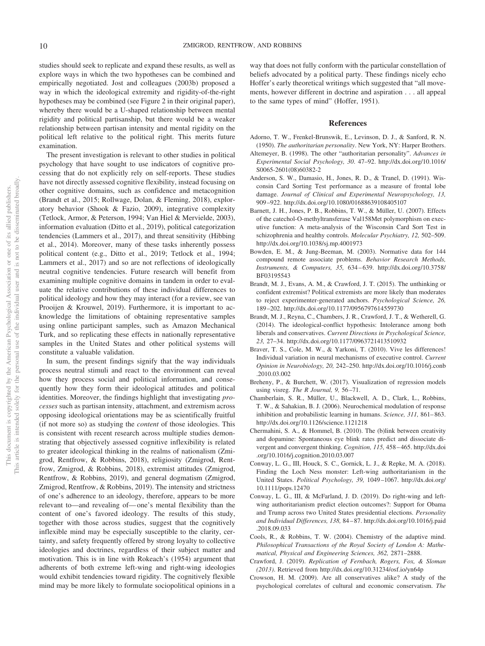studies should seek to replicate and expand these results, as well as explore ways in which the two hypotheses can be combined and empirically negotiated. Jost and colleagues (2003b) proposed a way in which the ideological extremity and rigidity-of-the-right hypotheses may be combined (see Figure 2 in their original paper), whereby there would be a U-shaped relationship between mental rigidity and political partisanship, but there would be a weaker relationship between partisan intensity and mental rigidity on the political left relative to the political right. This merits future examination.

The present investigation is relevant to other studies in political psychology that have sought to use indicators of cognitive processing that do not explicitly rely on self-reports. These studies have not directly assessed cognitive flexibility, instead focusing on other cognitive domains, such as confidence and metacognition (Brandt et al., 2015; Rollwage, Dolan, & Fleming, 2018), exploratory behavior (Shook & Fazio, 2009), integrative complexity (Tetlock, Armor, & Peterson, 1994; Van Hiel & Mervielde, 2003), information evaluation (Ditto et al., 2019), political categorization tendencies (Lammers et al., 2017), and threat sensitivity (Hibbing et al., 2014). Moreover, many of these tasks inherently possess political content (e.g., Ditto et al., 2019; Tetlock et al., 1994; Lammers et al., 2017) and so are not reflections of ideologically neutral cognitive tendencies. Future research will benefit from examining multiple cognitive domains in tandem in order to evaluate the relative contributions of these individual differences to political ideology and how they may interact (for a review, see van Prooijen & Krouwel, 2019). Furthermore, it is important to acknowledge the limitations of obtaining representative samples using online participant samples, such as Amazon Mechanical Turk, and so replicating these effects in nationally representative samples in the United States and other political systems will constitute a valuable validation.

In sum, the present findings signify that the way individuals process neutral stimuli and react to the environment can reveal how they process social and political information, and consequently how they form their ideological attitudes and political identities. Moreover, the findings highlight that investigating *processes* such as partisan intensity, attachment, and extremism across opposing ideological orientations may be as scientifically fruitful (if not more so) as studying the *content* of those ideologies. This is consistent with recent research across multiple studies demonstrating that objectively assessed cognitive inflexibility is related to greater ideological thinking in the realms of nationalism (Zmigrod, Rentfrow, & Robbins, 2018), religiosity (Zmigrod, Rentfrow, Zmigrod, & Robbins, 2018), extremist attitudes (Zmigrod, Rentfrow, & Robbins, 2019), and general dogmatism (Zmigrod, Zmigrod, Rentfrow, & Robbins, 2019). The intensity and strictness of one's adherence to an ideology, therefore, appears to be more relevant to—and revealing of— one's mental flexibility than the content of one's favored ideology. The results of this study, together with those across studies, suggest that the cognitively inflexible mind may be especially susceptible to the clarity, certainty, and safety frequently offered by strong loyalty to collective ideologies and doctrines, regardless of their subject matter and motivation. This is in line with Rokeach's (1954) argument that adherents of both extreme left-wing and right-wing ideologies would exhibit tendencies toward rigidity. The cognitively flexible mind may be more likely to formulate sociopolitical opinions in a

way that does not fully conform with the particular constellation of beliefs advocated by a political party. These findings nicely echo Hoffer's early theoretical writings which suggested that "all movements, however different in doctrine and aspiration . . . all appeal to the same types of mind" (Hoffer, 1951).

#### **References**

- Adorno, T. W., Frenkel-Brunswik, E., Levinson, D. J., & Sanford, R. N. (1950). *The authoritarian personality*. New York, NY: Harper Brothers.
- Altemeyer, B. (1998). The other "authoritarian personality". *Advances in Experimental Social Psychology, 30*. 47–92. [http://dx.doi.org/10.1016/](http://dx.doi.org/10.1016/S0065-2601%2808%2960382-2) [S0065-2601\(08\)60382-2](http://dx.doi.org/10.1016/S0065-2601%2808%2960382-2)
- Anderson, S. W., Damasio, H., Jones, R. D., & Tranel, D. (1991). Wisconsin Card Sorting Test performance as a measure of frontal lobe damage. *Journal of Clinical and Experimental Neuropsychology, 13,* 909 –922.<http://dx.doi.org/10.1080/01688639108405107>
- Barnett, J. H., Jones, P. B., Robbins, T. W., & Müller, U. (2007). Effects of the catechol-O-methyltransferase Val158Met polymorphism on executive function: A meta-analysis of the Wisconsin Card Sort Test in schizophrenia and healthy controls. *Molecular Psychiatry, 12,* 502–509. <http://dx.doi.org/10.1038/sj.mp.4001973>
- Bowden, E. M., & Jung-Beeman, M. (2003). Normative data for 144 compound remote associate problems. *Behavior Research Methods, Instruments, & Computers, 35,* 634 – 639. [http://dx.doi.org/10.3758/](http://dx.doi.org/10.3758/BF03195543) [BF03195543](http://dx.doi.org/10.3758/BF03195543)
- Brandt, M. J., Evans, A. M., & Crawford, J. T. (2015). The unthinking or confident extremist? Political extremists are more likely than moderates to reject experimenter-generated anchors. *Psychological Science, 26,* 189 –202.<http://dx.doi.org/10.1177/0956797614559730>
- Brandt, M. J., Reyna, C., Chambers, J. R., Crawford, J. T., & Wetherell, G. (2014). The ideological-conflict hypothesis: Intolerance among both liberals and conservatives. *Current Directions in Psychological Science, 23,* 27–34.<http://dx.doi.org/10.1177/0963721413510932>
- <span id="page-10-0"></span>Braver, T. S., Cole, M. W., & Yarkoni, T. (2010). Vive les differences! Individual variation in neural mechanisms of executive control. *Current Opinion in Neurobiology, 20,* 242–250. [http://dx.doi.org/10.1016/j.conb](http://dx.doi.org/10.1016/j.conb.2010.03.002) [.2010.03.002](http://dx.doi.org/10.1016/j.conb.2010.03.002)
- Breheny, P., & Burchett, W. (2017). Visualization of regression models using visreg. *The R Journal, 9,* 56 –71.
- Chamberlain, S. R., Müller, U., Blackwell, A. D., Clark, L., Robbins, T. W., & Sahakian, B. J. (2006). Neurochemical modulation of response inhibition and probabilistic learning in humans. *Science*, 311, 861–863. <http://dx.doi.org/10.1126/science.1121218>
- Chermahini, S. A., & Hommel, B. (2010). The (b)link between creativity and dopamine: Spontaneous eye blink rates predict and dissociate divergent and convergent thinking. *Cognition, 115,* 458 – 465. [http://dx.doi](http://dx.doi.org/10.1016/j.cognition.2010.03.007) [.org/10.1016/j.cognition.2010.03.007](http://dx.doi.org/10.1016/j.cognition.2010.03.007)
- Conway, L. G., III, Houck, S. C., Gornick, L. J., & Repke, M. A. (2018). Finding the Loch Ness monster: Left-wing authoritarianism in the United States. *Political Psychology, 39,* 1049 –1067. [http://dx.doi.org/](http://dx.doi.org/10.1111/pops.12470) [10.1111/pops.12470](http://dx.doi.org/10.1111/pops.12470)
- Conway, L. G., III, & McFarland, J. D. (2019). Do right-wing and leftwing authoritarianism predict election outcomes?: Support for Obama and Trump across two United States presidential elections. *Personality and Individual Differences, 138,* 84 – 87. [http://dx.doi.org/10.1016/j.paid](http://dx.doi.org/10.1016/j.paid.2018.09.033) [.2018.09.033](http://dx.doi.org/10.1016/j.paid.2018.09.033)
- Cools, R., & Robbins, T. W. (2004). Chemistry of the adaptive mind. *Philosophical Transactions of the Royal Society of London A: Mathematical, Physical and Engineering Sciences, 362,* 2871–2888.
- Crawford, J. (2019). *Replication of Fernbach, Rogers, Fox, & Sloman (2013)*. Retrieved from<http://dx.doi.org/10.31234/osf.io/yn64p>
- Crowson, H. M. (2009). Are all conservatives alike? A study of the psychological correlates of cultural and economic conservatism. *The*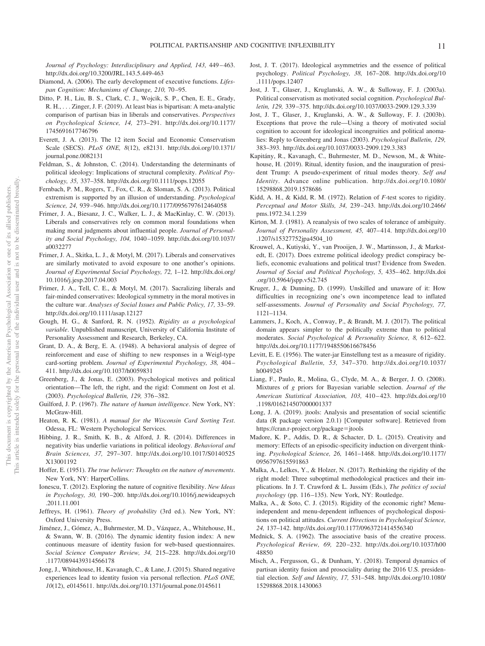*Journal of Psychology: Interdisciplinary and Applied, 143,* 449 – 463. <http://dx.doi.org/10.3200/JRL.143.5.449-463>

- Diamond, A. (2006). The early development of executive functions. *Lifespan Cognition: Mechanisms of Change, 210,* 70 –95.
- Ditto, P. H., Liu, B. S., Clark, C. J., Wojcik, S. P., Chen, E. E., Grady, R. H., . . . Zinger, J. F. (2019). At least bias is bipartisan: A meta-analytic comparison of partisan bias in liberals and conservatives. *Perspectives on Psychological Science, 14,* 273–291. [http://dx.doi.org/10.1177/](http://dx.doi.org/10.1177/1745691617746796) [1745691617746796](http://dx.doi.org/10.1177/1745691617746796)
- Everett, J. A. (2013). The 12 item Social and Economic Conservatism Scale (SECS). *PLoS ONE, 8*(12), e82131. [http://dx.doi.org/10.1371/](http://dx.doi.org/10.1371/journal.pone.0082131) [journal.pone.0082131](http://dx.doi.org/10.1371/journal.pone.0082131)
- Feldman, S., & Johnston, C. (2014). Understanding the determinants of political ideology: Implications of structural complexity. *Political Psychology, 35,* 337–358.<http://dx.doi.org/10.1111/pops.12055>
- Fernbach, P. M., Rogers, T., Fox, C. R., & Sloman, S. A. (2013). Political extremism is supported by an illusion of understanding. *Psychological Science, 24,* 939 –946.<http://dx.doi.org/10.1177/0956797612464058>
- Frimer, J. A., Biesanz, J. C., Walker, L. J., & MacKinlay, C. W. (2013). Liberals and conservatives rely on common moral foundations when making moral judgments about influential people. *Journal of Personality and Social Psychology, 104,* 1040 –1059. [http://dx.doi.org/10.1037/](http://dx.doi.org/10.1037/a0032277) [a0032277](http://dx.doi.org/10.1037/a0032277)
- Frimer, J. A., Skitka, L. J., & Motyl, M. (2017). Liberals and conservatives are similarly motivated to avoid exposure to one another's opinions. *Journal of Experimental Social Psychology, 72,* 1–12. [http://dx.doi.org/](http://dx.doi.org/10.1016/j.jesp.2017.04.003) [10.1016/j.jesp.2017.04.003](http://dx.doi.org/10.1016/j.jesp.2017.04.003)
- Frimer, J. A., Tell, C. E., & Motyl, M. (2017). Sacralizing liberals and fair-minded conservatives: Ideological symmetry in the moral motives in the culture war. *Analyses of Social Issues and Public Policy, 17,* 33–59. <http://dx.doi.org/10.1111/asap.12127>
- Gough, H. G., & Sanford, R. N. (1952). *Rigidity as a psychological variable*. Unpublished manuscript, University of California Institute of Personality Assessment and Research, Berkeley, CA.
- Grant, D. A., & Berg, E. A. (1948). A behavioral analysis of degree of reinforcement and ease of shifting to new responses in a Weigl-type card-sorting problem. *Journal of Experimental Psychology, 38,* 404 – 411.<http://dx.doi.org/10.1037/h0059831>
- Greenberg, J., & Jonas, E. (2003). Psychological motives and political orientation—The left, the right, and the rigid: Comment on Jost et al. (2003). *Psychological Bulletin, 129,* 376 –382.
- Guilford, J. P. (1967). *The nature of human intelligence*. New York, NY: McGraw-Hill.
- Heaton, R. K. (1981). *A manual for the Wisconsin Card Sorting Test*. Odessa, FL: Western Psychological Services.
- Hibbing, J. R., Smith, K. B., & Alford, J. R. (2014). Differences in negativity bias underlie variations in political ideology. *Behavioral and Brain Sciences, 37,* 297–307. [http://dx.doi.org/10.1017/S0140525](http://dx.doi.org/10.1017/S0140525X13001192) [X13001192](http://dx.doi.org/10.1017/S0140525X13001192)
- Hoffer, E. (1951). *The true believer: Thoughts on the nature of movements*. New York, NY: HarperCollins.
- Ionescu, T. (2012). Exploring the nature of cognitive flexibility. *New Ideas in Psychology, 30,* 190 –200. [http://dx.doi.org/10.1016/j.newideapsych](http://dx.doi.org/10.1016/j.newideapsych.2011.11.001) [.2011.11.001](http://dx.doi.org/10.1016/j.newideapsych.2011.11.001)
- Jeffreys, H. (1961). *Theory of probability* (3rd ed.). New York, NY: Oxford University Press.
- Jiménez, J., Gómez, A., Buhrmester, M. D., Vázquez, A., Whitehouse, H., & Swann, W. B. (2016). The dynamic identity fusion index: A new continuous measure of identity fusion for web-based questionnaires. *Social Science Computer Review, 34,* 215–228. [http://dx.doi.org/10](http://dx.doi.org/10.1177/0894439314566178) [.1177/0894439314566178](http://dx.doi.org/10.1177/0894439314566178)
- Jong, J., Whitehouse, H., Kavanagh, C., & Lane, J. (2015). Shared negative experiences lead to identity fusion via personal reflection. *PLoS ONE, 10*(12), e0145611.<http://dx.doi.org/10.1371/journal.pone.0145611>
- Jost, J. T. (2017). Ideological asymmetries and the essence of political psychology. *Political Psychology, 38,* 167–208. [http://dx.doi.org/10](http://dx.doi.org/10.1111/pops.12407) [.1111/pops.12407](http://dx.doi.org/10.1111/pops.12407)
- Jost, J. T., Glaser, J., Kruglanski, A. W., & Sulloway, F. J. (2003a). Political conservatism as motivated social cognition. *Psychological Bulletin, 129,* 339 –375.<http://dx.doi.org/10.1037/0033-2909.129.3.339>
- Jost, J. T., Glaser, J., Kruglanski, A. W., & Sulloway, F. J. (2003b). Exceptions that prove the rule—Using a theory of motivated social cognition to account for ideological incongruities and political anomalies: Reply to Greenberg and Jonas (2003). *Psychological Bulletin, 129,* 383–393.<http://dx.doi.org/10.1037/0033-2909.129.3.383>
- Kapitány, R., Kavanagh, C., Buhrmester, M. D., Newson, M., & Whitehouse, H. (2019). Ritual, identity fusion, and the inauguration of president Trump: A pseudo-experiment of ritual modes theory. *Self and Identity*. Advance online publication. [http://dx.doi.org/10.1080/](http://dx.doi.org/10.1080/15298868.2019.1578686) [15298868.2019.1578686](http://dx.doi.org/10.1080/15298868.2019.1578686)
- Kidd, A. H., & Kidd, R. M. (1972). Relation of *F*-test scores to rigidity. *Perceptual and Motor Skills, 34,* 239 –243. [http://dx.doi.org/10.2466/](http://dx.doi.org/10.2466/pms.1972.34.1.239) [pms.1972.34.1.239](http://dx.doi.org/10.2466/pms.1972.34.1.239)
- Kirton, M. J. (1981). A reanalysis of two scales of tolerance of ambiguity. *Journal of Personality Assessment, 45,* 407– 414. [http://dx.doi.org/10](http://dx.doi.org/10.1207/s15327752jpa4504_10) [.1207/s15327752jpa4504\\_10](http://dx.doi.org/10.1207/s15327752jpa4504_10)
- Krouwel, A., Kutiyski, Y., van Prooijen, J. W., Martinsson, J., & Markstedt, E. (2017). Does extreme political ideology predict conspiracy beliefs, economic evaluations and political trust? Evidence from Sweden. *Journal of Social and Political Psychology, 5,* 435– 462. [http://dx.doi](http://dx.doi.org/10.5964/jspp.v5i2.745) [.org/10.5964/jspp.v5i2.745](http://dx.doi.org/10.5964/jspp.v5i2.745)
- Kruger, J., & Dunning, D. (1999). Unskilled and unaware of it: How difficulties in recognizing one's own incompetence lead to inflated self-assessments. *Journal of Personality and Social Psychology, 77,* 1121–1134.
- Lammers, J., Koch, A., Conway, P., & Brandt, M. J. (2017). The political domain appears simpler to the politically extreme than to political moderates. *Social Psychological & Personality Science*, 8, 612-622. <http://dx.doi.org/10.1177/1948550616678456>
- Levitt, E. E. (1956). The water-jar Einstellung test as a measure of rigidity. *Psychological Bulletin, 53,* 347–370. [http://dx.doi.org/10.1037/](http://dx.doi.org/10.1037/h0049245) [h0049245](http://dx.doi.org/10.1037/h0049245)
- Liang, F., Paulo, R., Molina, G., Clyde, M. A., & Berger, J. O. (2008). Mixtures of *g* priors for Bayesian variable selection. *Journal of the American Statistical Association, 103,* 410 – 423. [http://dx.doi.org/10](http://dx.doi.org/10.1198/016214507000001337) [.1198/016214507000001337](http://dx.doi.org/10.1198/016214507000001337)
- Long, J. A. (2019). jtools: Analysis and presentation of social scientific data (R package version 2.0.1) [Computer software]. Retrieved from [https://cran.r-project.org/package](https://cran.r-project.org/package=jtools)=jtools
- Madore, K. P., Addis, D. R., & Schacter, D. L. (2015). Creativity and memory: Effects of an episodic-specificity induction on divergent thinking. *Psychological Science, 26,* 1461–1468. [http://dx.doi.org/10.1177/](http://dx.doi.org/10.1177/0956797615591863) [0956797615591863](http://dx.doi.org/10.1177/0956797615591863)
- Malka, A., Lelkes, Y., & Holzer, N. (2017). Rethinking the rigidity of the right model: Three suboptimal methodological practices and their implications. In J. T. Crawford & L. Jussim (Eds.), *The politics of social psychology* (pp. 116 –135). New York, NY: Routledge.
- Malka, A., & Soto, C. J. (2015). Rigidity of the economic right? Menuindependent and menu-dependent influences of psychological dispositions on political attitudes. *Current Directions in Psychological Science, 24,* 137–142.<http://dx.doi.org/10.1177/0963721414556340>
- Mednick, S. A. (1962). The associative basis of the creative process. *Psychological Review, 69,* 220 –232. [http://dx.doi.org/10.1037/h00](http://dx.doi.org/10.1037/h0048850) [48850](http://dx.doi.org/10.1037/h0048850)
- Misch, A., Fergusson, G., & Dunham, Y. (2018). Temporal dynamics of partisan identity fusion and prosociality during the 2016 U.S. presidential election. *Self and Identity, 17,* 531–548. [http://dx.doi.org/10.1080/](http://dx.doi.org/10.1080/15298868.2018.1430063) [15298868.2018.1430063](http://dx.doi.org/10.1080/15298868.2018.1430063)